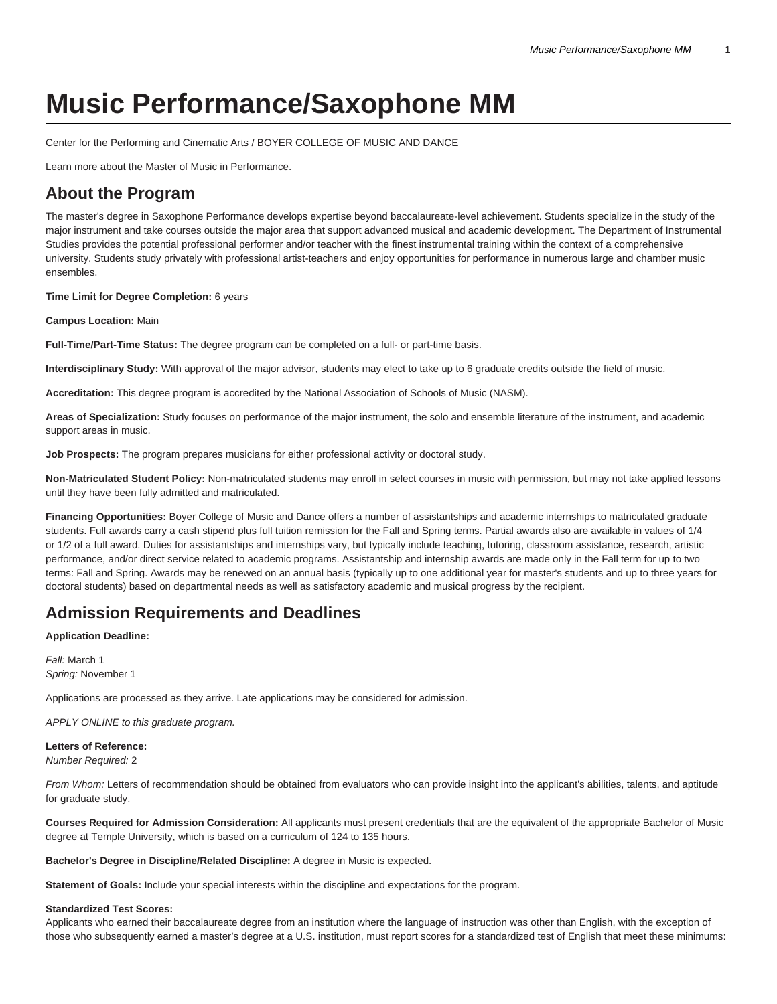# **Music Performance/Saxophone MM**

[Center for the Performing and Cinematic Arts / BOYER COLLEGE OF MUSIC AND DANCE](https://www.temple.edu/boyer/)

[Learn more about the Master of Music in Performance.](https://www.temple.edu/academics/degree-programs/performance-mm-bc-perf-mmus/)

# **About the Program**

The master's degree in Saxophone Performance develops expertise beyond baccalaureate-level achievement. Students specialize in the study of the major instrument and take courses outside the major area that support advanced musical and academic development. The Department of Instrumental Studies provides the potential professional performer and/or teacher with the finest instrumental training within the context of a comprehensive university. Students study privately with professional artist-teachers and enjoy opportunities for performance in numerous large and chamber music ensembles.

**Time Limit for Degree Completion:** 6 years

**Campus Location:** Main

**Full-Time/Part-Time Status:** The degree program can be completed on a full- or part-time basis.

**Interdisciplinary Study:** With approval of the major advisor, students may elect to take up to 6 graduate credits outside the field of music.

**Accreditation:** This degree program is accredited by the National Association of Schools of Music (NASM).

**Areas of Specialization:** Study focuses on performance of the major instrument, the solo and ensemble literature of the instrument, and academic support areas in music.

**Job Prospects:** The program prepares musicians for either professional activity or doctoral study.

**Non-Matriculated Student Policy:** Non-matriculated students may enroll in select courses in music with permission, but may not take applied lessons until they have been fully admitted and matriculated.

**Financing Opportunities:** Boyer College of Music and Dance offers a number of assistantships and academic internships to matriculated graduate students. Full awards carry a cash stipend plus full tuition remission for the Fall and Spring terms. Partial awards also are available in values of 1/4 or 1/2 of a full award. Duties for assistantships and internships vary, but typically include teaching, tutoring, classroom assistance, research, artistic performance, and/or direct service related to academic programs. Assistantship and internship awards are made only in the Fall term for up to two terms: Fall and Spring. Awards may be renewed on an annual basis (typically up to one additional year for master's students and up to three years for doctoral students) based on departmental needs as well as satisfactory academic and musical progress by the recipient.

# **Admission Requirements and Deadlines**

**Application Deadline:**

Fall: March 1 Spring: November 1

Applications are processed as they arrive. Late applications may be considered for admission.

APPLY ONLINE to this graduate program.

**Letters of Reference:** Number Required: 2

From Whom: Letters of recommendation should be obtained from evaluators who can provide insight into the applicant's abilities, talents, and aptitude for graduate study.

**Courses Required for Admission Consideration:** All applicants must present credentials that are the equivalent of the appropriate Bachelor of Music degree at Temple University, which is based on a curriculum of 124 to 135 hours.

**Bachelor's Degree in Discipline/Related Discipline:** A degree in Music is expected.

**Statement of Goals:** Include your special interests within the discipline and expectations for the program.

#### **Standardized Test Scores:**

Applicants who earned their baccalaureate degree from an institution where the language of instruction was other than English, with the exception of those who subsequently earned a master's degree at a U.S. institution, must report scores for a standardized test of English that meet these minimums: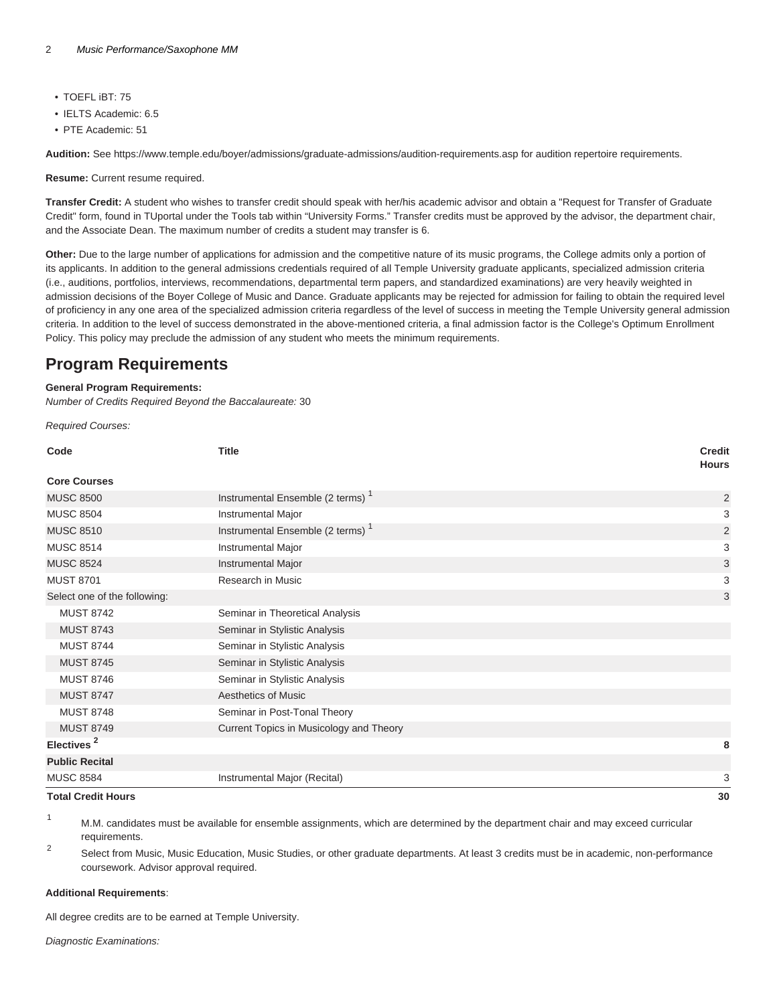- TOEFL iBT: 75
- IELTS Academic: 6.5
- PTE Academic: 51

**Audition:** See <https://www.temple.edu/boyer/admissions/graduate-admissions/audition-requirements.asp>for audition repertoire requirements.

**Resume:** Current resume required.

**Transfer Credit:** A student who wishes to transfer credit should speak with her/his academic advisor and obtain a "Request for Transfer of Graduate Credit" form, found in TUportal under the Tools tab within "University Forms." Transfer credits must be approved by the advisor, the department chair, and the Associate Dean. The maximum number of credits a student may transfer is 6.

**Other:** Due to the large number of applications for admission and the competitive nature of its music programs, the College admits only a portion of its applicants. In addition to the general admissions credentials required of all Temple University graduate applicants, specialized admission criteria (i.e., auditions, portfolios, interviews, recommendations, departmental term papers, and standardized examinations) are very heavily weighted in admission decisions of the Boyer College of Music and Dance. Graduate applicants may be rejected for admission for failing to obtain the required level of proficiency in any one area of the specialized admission criteria regardless of the level of success in meeting the Temple University general admission criteria. In addition to the level of success demonstrated in the above-mentioned criteria, a final admission factor is the College's Optimum Enrollment Policy. This policy may preclude the admission of any student who meets the minimum requirements.

# **Program Requirements**

#### **General Program Requirements:**

Number of Credits Required Beyond the Baccalaureate: 30

Required Courses:

| Code                         | <b>Title</b>                                 | <b>Credit</b><br><b>Hours</b> |
|------------------------------|----------------------------------------------|-------------------------------|
| <b>Core Courses</b>          |                                              |                               |
| <b>MUSC 8500</b>             | Instrumental Ensemble (2 terms) <sup>1</sup> | $\overline{2}$                |
| <b>MUSC 8504</b>             | Instrumental Major                           | 3                             |
| <b>MUSC 8510</b>             | Instrumental Ensemble (2 terms) <sup>1</sup> | $\overline{2}$                |
| <b>MUSC 8514</b>             | Instrumental Major                           | 3                             |
| <b>MUSC 8524</b>             | Instrumental Major                           | $\ensuremath{\mathsf{3}}$     |
| <b>MUST 8701</b>             | Research in Music                            | 3                             |
| Select one of the following: |                                              | 3                             |
| <b>MUST 8742</b>             | Seminar in Theoretical Analysis              |                               |
| <b>MUST 8743</b>             | Seminar in Stylistic Analysis                |                               |
| <b>MUST 8744</b>             | Seminar in Stylistic Analysis                |                               |
| <b>MUST 8745</b>             | Seminar in Stylistic Analysis                |                               |
| <b>MUST 8746</b>             | Seminar in Stylistic Analysis                |                               |
| <b>MUST 8747</b>             | <b>Aesthetics of Music</b>                   |                               |
| <b>MUST 8748</b>             | Seminar in Post-Tonal Theory                 |                               |
| <b>MUST 8749</b>             | Current Topics in Musicology and Theory      |                               |
| Electives <sup>2</sup>       |                                              | 8                             |
| <b>Public Recital</b>        |                                              |                               |
| <b>MUSC 8584</b>             | Instrumental Major (Recital)                 | 3                             |
| <b>Total Credit Hours</b>    |                                              | 30                            |

<sup>1</sup> M.M. candidates must be available for ensemble assignments, which are determined by the department chair and may exceed curricular requirements.

 $\overline{2}$ Select from Music, Music Education, Music Studies, or other graduate departments. At least 3 credits must be in academic, non-performance coursework. Advisor approval required.

#### **Additional Requirements**:

All degree credits are to be earned at Temple University.

Diagnostic Examinations: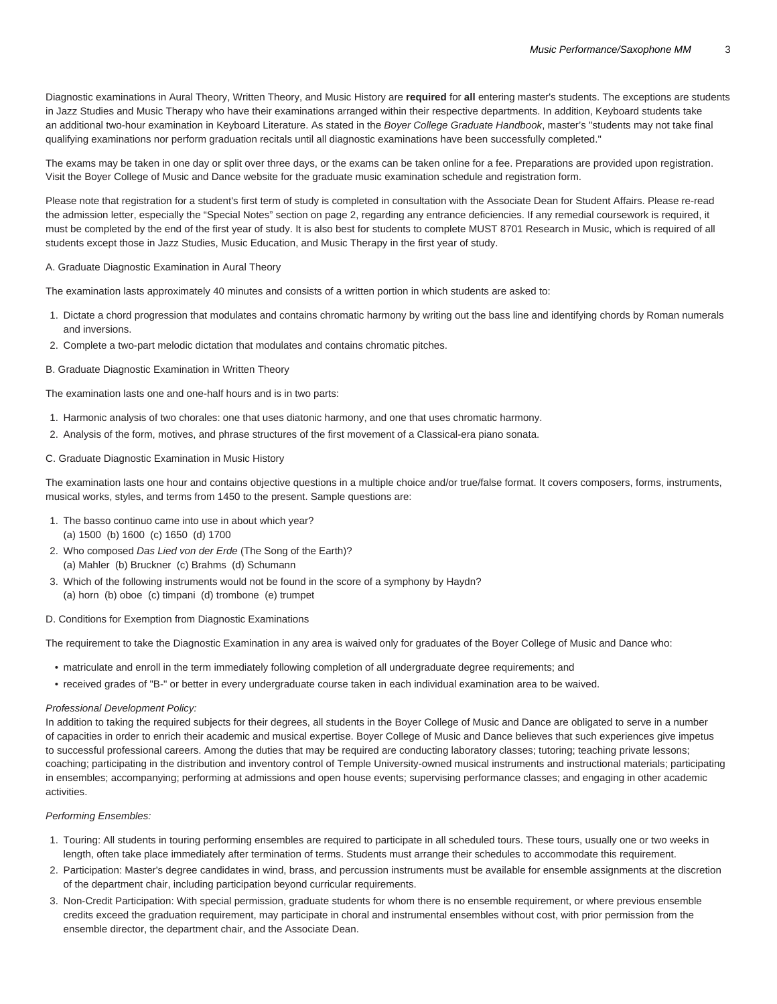Diagnostic examinations in Aural Theory, Written Theory, and Music History are **required** for **all** entering master's students. The exceptions are students in Jazz Studies and Music Therapy who have their examinations arranged within their respective departments. In addition, Keyboard students take an additional two-hour examination in Keyboard Literature. As stated in the Boyer College Graduate Handbook, master's "students may not take final qualifying examinations nor perform graduation recitals until all diagnostic examinations have been successfully completed."

The exams may be taken in one day or split over three days, or the exams can be taken online for a fee. Preparations are provided upon registration. Visit the Boyer College of Music and Dance website for the [graduate music examination schedule and registration form](https://boyer.temple.edu/admissions/graduate-diagnostic-exams-registration/).

Please note that registration for a student's first term of study is completed in consultation with the Associate Dean for Student Affairs. Please re-read the admission letter, especially the "Special Notes" section on page 2, regarding any entrance deficiencies. If any remedial coursework is required, it must be completed by the end of the first year of study. It is also best for students to complete MUST 8701 Research in Music, which is required of all students except those in Jazz Studies, Music Education, and Music Therapy in the first year of study.

#### A. Graduate Diagnostic Examination in Aural Theory

The examination lasts approximately 40 minutes and consists of a written portion in which students are asked to:

- 1. Dictate a chord progression that modulates and contains chromatic harmony by writing out the bass line and identifying chords by Roman numerals and inversions.
- 2. Complete a two-part melodic dictation that modulates and contains chromatic pitches.

#### B. Graduate Diagnostic Examination in Written Theory

The examination lasts one and one-half hours and is in two parts:

- 1. Harmonic analysis of two chorales: one that uses diatonic harmony, and one that uses chromatic harmony.
- 2. Analysis of the form, motives, and phrase structures of the first movement of a Classical-era piano sonata.

#### C. Graduate Diagnostic Examination in Music History

The examination lasts one hour and contains objective questions in a multiple choice and/or true/false format. It covers composers, forms, instruments, musical works, styles, and terms from 1450 to the present. Sample questions are:

- 1. The basso continuo came into use in about which year? (a) 1500 (b) 1600 (c) 1650 (d) 1700
- 2. Who composed Das Lied von der Erde (The Song of the Earth)? (a) Mahler (b) Bruckner (c) Brahms (d) Schumann
- 3. Which of the following instruments would not be found in the score of a symphony by Haydn?
- (a) horn (b) oboe (c) timpani (d) trombone (e) trumpet

#### D. Conditions for Exemption from Diagnostic Examinations

The requirement to take the Diagnostic Examination in any area is waived only for graduates of the Boyer College of Music and Dance who:

- matriculate and enroll in the term immediately following completion of all undergraduate degree requirements; and
- received grades of "B-" or better in every undergraduate course taken in each individual examination area to be waived.

#### Professional Development Policy:

In addition to taking the required subjects for their degrees, all students in the Boyer College of Music and Dance are obligated to serve in a number of capacities in order to enrich their academic and musical expertise. Boyer College of Music and Dance believes that such experiences give impetus to successful professional careers. Among the duties that may be required are conducting laboratory classes; tutoring; teaching private lessons; coaching; participating in the distribution and inventory control of Temple University-owned musical instruments and instructional materials; participating in ensembles; accompanying; performing at admissions and open house events; supervising performance classes; and engaging in other academic activities.

#### Performing Ensembles:

- 1. Touring: All students in touring performing ensembles are required to participate in all scheduled tours. These tours, usually one or two weeks in length, often take place immediately after termination of terms. Students must arrange their schedules to accommodate this requirement.
- 2. Participation: Master's degree candidates in wind, brass, and percussion instruments must be available for ensemble assignments at the discretion of the department chair, including participation beyond curricular requirements.
- 3. Non-Credit Participation: With special permission, graduate students for whom there is no ensemble requirement, or where previous ensemble credits exceed the graduation requirement, may participate in choral and instrumental ensembles without cost, with prior permission from the ensemble director, the department chair, and the Associate Dean.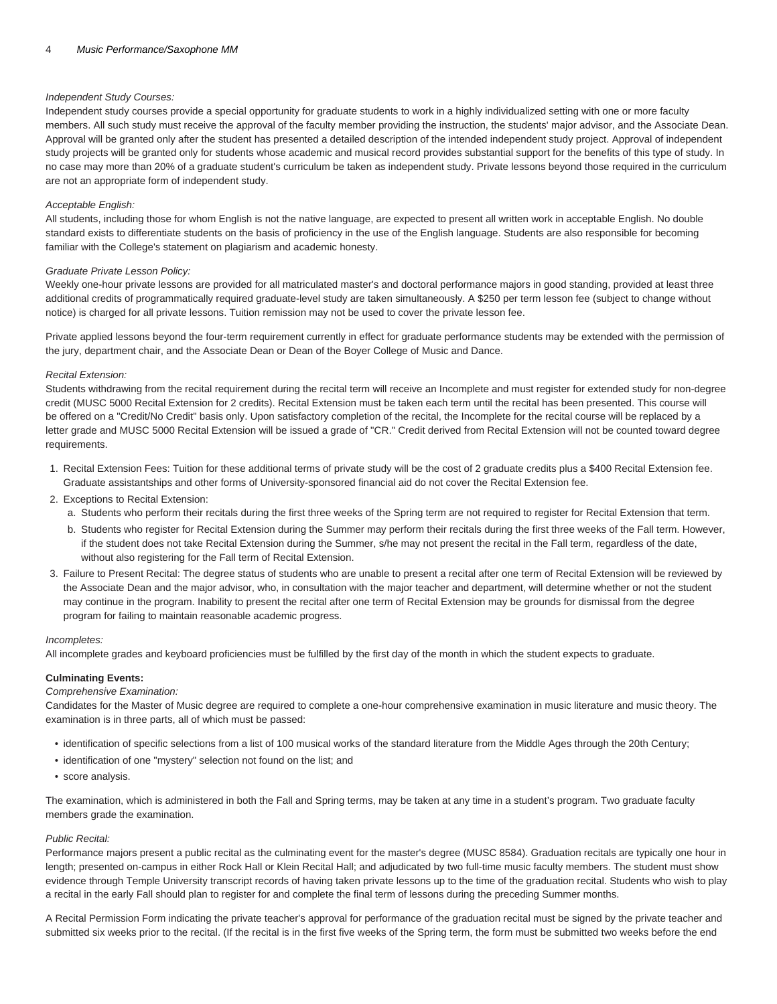#### Independent Study Courses:

Independent study courses provide a special opportunity for graduate students to work in a highly individualized setting with one or more faculty members. All such study must receive the approval of the faculty member providing the instruction, the students' major advisor, and the Associate Dean. Approval will be granted only after the student has presented a detailed description of the intended independent study project. Approval of independent study projects will be granted only for students whose academic and musical record provides substantial support for the benefits of this type of study. In no case may more than 20% of a graduate student's curriculum be taken as independent study. Private lessons beyond those required in the curriculum are not an appropriate form of independent study.

#### Acceptable English:

All students, including those for whom English is not the native language, are expected to present all written work in acceptable English. No double standard exists to differentiate students on the basis of proficiency in the use of the English language. Students are also responsible for becoming familiar with the College's statement on plagiarism and academic honesty.

#### Graduate Private Lesson Policy:

Weekly one-hour private lessons are provided for all matriculated master's and doctoral performance majors in good standing, provided at least three additional credits of programmatically required graduate-level study are taken simultaneously. A \$250 per term lesson fee (subject to change without notice) is charged for all private lessons. Tuition remission may not be used to cover the private lesson fee.

Private applied lessons beyond the four-term requirement currently in effect for graduate performance students may be extended with the permission of the jury, department chair, and the Associate Dean or Dean of the Boyer College of Music and Dance.

#### Recital Extension:

Students withdrawing from the recital requirement during the recital term will receive an Incomplete and must register for extended study for non-degree credit (MUSC 5000 Recital Extension for 2 credits). Recital Extension must be taken each term until the recital has been presented. This course will be offered on a "Credit/No Credit" basis only. Upon satisfactory completion of the recital, the Incomplete for the recital course will be replaced by a letter grade and MUSC 5000 Recital Extension will be issued a grade of "CR." Credit derived from Recital Extension will not be counted toward degree requirements.

- 1. Recital Extension Fees: Tuition for these additional terms of private study will be the cost of 2 graduate credits plus a \$400 Recital Extension fee. Graduate assistantships and other forms of University-sponsored financial aid do not cover the Recital Extension fee.
- 2. Exceptions to Recital Extension:
	- a. Students who perform their recitals during the first three weeks of the Spring term are not required to register for Recital Extension that term.
	- b. Students who register for Recital Extension during the Summer may perform their recitals during the first three weeks of the Fall term. However, if the student does not take Recital Extension during the Summer, s/he may not present the recital in the Fall term, regardless of the date, without also registering for the Fall term of Recital Extension.
- 3. Failure to Present Recital: The degree status of students who are unable to present a recital after one term of Recital Extension will be reviewed by the Associate Dean and the major advisor, who, in consultation with the major teacher and department, will determine whether or not the student may continue in the program. Inability to present the recital after one term of Recital Extension may be grounds for dismissal from the degree program for failing to maintain reasonable academic progress.

#### Incompletes:

All incomplete grades and keyboard proficiencies must be fulfilled by the first day of the month in which the student expects to graduate.

#### **Culminating Events:**

#### Comprehensive Examination:

Candidates for the Master of Music degree are required to complete a one-hour comprehensive examination in music literature and music theory. The examination is in three parts, all of which must be passed:

- identification of specific selections from a list of 100 musical works of the standard literature from the Middle Ages through the 20th Century;
- identification of one "mystery" selection not found on the list; and
- score analysis.

The examination, which is administered in both the Fall and Spring terms, may be taken at any time in a student's program. Two graduate faculty members grade the examination.

#### Public Recital:

Performance majors present a public recital as the culminating event for the master's degree (MUSC 8584). Graduation recitals are typically one hour in length; presented on-campus in either Rock Hall or Klein Recital Hall; and adjudicated by two full-time music faculty members. The student must show evidence through Temple University transcript records of having taken private lessons up to the time of the graduation recital. Students who wish to play a recital in the early Fall should plan to register for and complete the final term of lessons during the preceding Summer months.

A Recital Permission Form indicating the private teacher's approval for performance of the graduation recital must be signed by the private teacher and submitted six weeks prior to the recital. (If the recital is in the first five weeks of the Spring term, the form must be submitted two weeks before the end